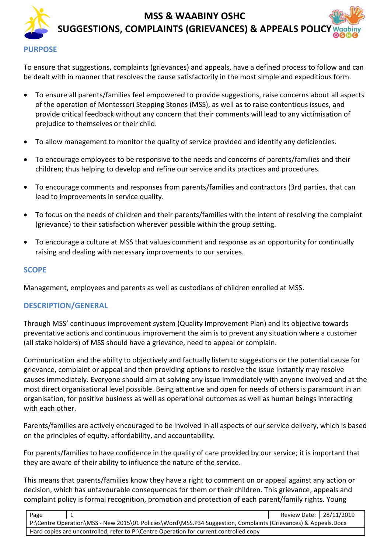## **MSS & WAABINY OSHC SUGGESTIONS, COMPLAINTS (GRIEVANCES) & APPEALS POLICY**

#### **PURPOSE**

To ensure that suggestions, complaints (grievances) and appeals, have a defined process to follow and can be dealt with in manner that resolves the cause satisfactorily in the most simple and expeditious form.

- To ensure all parents/families feel empowered to provide suggestions, raise concerns about all aspects of the operation of Montessori Stepping Stones (MSS), as well as to raise contentious issues, and provide critical feedback without any concern that their comments will lead to any victimisation of prejudice to themselves or their child.
- To allow management to monitor the quality of service provided and identify any deficiencies.
- To encourage employees to be responsive to the needs and concerns of parents/families and their children; thus helping to develop and refine our service and its practices and procedures.
- To encourage comments and responses from parents/families and contractors (3rd parties, that can lead to improvements in service quality.
- To focus on the needs of children and their parents/families with the intent of resolving the complaint (grievance) to their satisfaction wherever possible within the group setting.
- To encourage a culture at MSS that values comment and response as an opportunity for continually raising and dealing with necessary improvements to our services.

#### **SCOPE**

Management, employees and parents as well as custodians of children enrolled at MSS.

#### **DESCRIPTION/GENERAL**

Through MSS' continuous improvement system (Quality Improvement Plan) and its objective towards preventative actions and continuous improvement the aim is to prevent any situation where a customer (all stake holders) of MSS should have a grievance, need to appeal or complain.

Communication and the ability to objectively and factually listen to suggestions or the potential cause for grievance, complaint or appeal and then providing options to resolve the issue instantly may resolve causes immediately. Everyone should aim at solving any issue immediately with anyone involved and at the most direct organisational level possible. Being attentive and open for needs of others is paramount in an organisation, for positive business as well as operational outcomes as well as human beings interacting with each other

Parents/families are actively encouraged to be involved in all aspects of our service delivery, which is based on the principles of equity, affordability, and accountability.

For parents/families to have confidence in the quality of care provided by our service; it is important that they are aware of their ability to influence the nature of the service.

This means that parents/families know they have a right to comment on or appeal against any action or decision, which has unfavourable consequences for them or their children. This grievance, appeals and complaint policy is formal recognition, promotion and protection of each parent/family rights. Young

| Page                                                                                                           |  | Review Date:   28/11/2019 |  |
|----------------------------------------------------------------------------------------------------------------|--|---------------------------|--|
| P:\Centre Operation\MSS - New 2015\01 Policies\Word\MSS.P34 Suggestion, Complaints (Grievances) & Appeals.Docx |  |                           |  |
| Hard copies are uncontrolled, refer to P:\Centre Operation for current controlled copy                         |  |                           |  |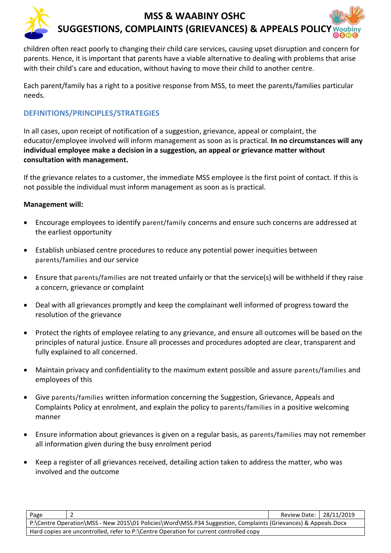

children often react poorly to changing their child care services, causing upset disruption and concern for parents. Hence, it is important that parents have a viable alternative to dealing with problems that arise with their child's care and education, without having to move their child to another centre.

Each parent/family has a right to a positive response from MSS, to meet the parents/families particular needs.

### **DEFINITIONS/PRINCIPLES/STRATEGIES**

In all cases, upon receipt of notification of a suggestion, grievance, appeal or complaint, the educator/employee involved will inform management as soon as is practical. **In no circumstances will any individual employee make a decision in a suggestion, an appeal or grievance matter without consultation with management.**

If the grievance relates to a customer, the immediate MSS employee is the first point of contact. If this is not possible the individual must inform management as soon as is practical.

#### **Management will:**

- Encourage employees to identify parent/family concerns and ensure such concerns are addressed at the earliest opportunity
- Establish unbiased centre procedures to reduce any potential power inequities between parents/families and our service
- Ensure that parents/families are not treated unfairly or that the service(s) will be withheld if they raise a concern, grievance or complaint
- Deal with all grievances promptly and keep the complainant well informed of progress toward the resolution of the grievance
- Protect the rights of employee relating to any grievance, and ensure all outcomes will be based on the principles of natural justice. Ensure all processes and procedures adopted are clear, transparent and fully explained to all concerned.
- Maintain privacy and confidentiality to the maximum extent possible and assure parents/families and employees of this
- Give parents/families written information concerning the Suggestion, Grievance, Appeals and Complaints Policy at enrolment, and explain the policy to parents/families in a positive welcoming manner
- Ensure information about grievances is given on a regular basis, as parents/families may not remember all information given during the busy enrolment period
- Keep a register of all grievances received, detailing action taken to address the matter, who was involved and the outcome

| Page                                                                                                           |  | Review Date:   28/11/2019 |  |  |
|----------------------------------------------------------------------------------------------------------------|--|---------------------------|--|--|
| P:\Centre Operation\MSS - New 2015\01 Policies\Word\MSS.P34 Suggestion, Complaints (Grievances) & Appeals.Docx |  |                           |  |  |
| Hard copies are uncontrolled, refer to P:\Centre Operation for current controlled copy                         |  |                           |  |  |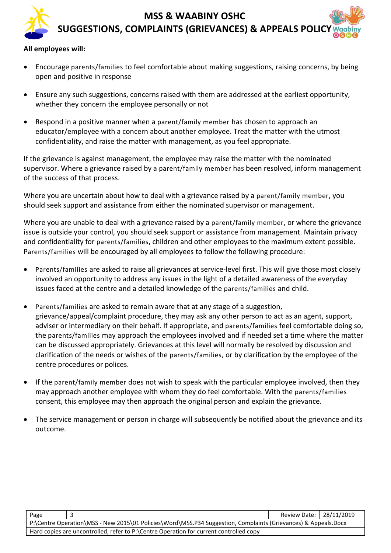### **MSS & WAABINY OSHC SUGGESTIONS, COMPLAINTS (GRIEVANCES) & APPEALS POLICY**

#### **All employees will:**

- Encourage parents/families to feel comfortable about making suggestions, raising concerns, by being open and positive in response
- Ensure any such suggestions, concerns raised with them are addressed at the earliest opportunity, whether they concern the employee personally or not
- Respond in a positive manner when a parent/family member has chosen to approach an educator/employee with a concern about another employee. Treat the matter with the utmost confidentiality, and raise the matter with management, as you feel appropriate.

If the grievance is against management, the employee may raise the matter with the nominated supervisor. Where a grievance raised by a parent/family member has been resolved, inform management of the success of that process.

Where you are uncertain about how to deal with a grievance raised by a parent/family member, you should seek support and assistance from either the nominated supervisor or management.

Where you are unable to deal with a grievance raised by a parent/family member, or where the grievance issue is outside your control, you should seek support or assistance from management. Maintain privacy and confidentiality for parents/families, children and other employees to the maximum extent possible. Parents/families will be encouraged by all employees to follow the following procedure:

- Parents/families are asked to raise all grievances at service-level first. This will give those most closely involved an opportunity to address any issues in the light of a detailed awareness of the everyday issues faced at the centre and a detailed knowledge of the parents/families and child.
- Parents/families are asked to remain aware that at any stage of a suggestion, grievance/appeal/complaint procedure, they may ask any other person to act as an agent, support, adviser or intermediary on their behalf. If appropriate, and parents/families feel comfortable doing so, the parents/families may approach the employees involved and if needed set a time where the matter can be discussed appropriately. Grievances at this level will normally be resolved by discussion and clarification of the needs or wishes of the parents/families, or by clarification by the employee of the centre procedures or polices.
- If the parent/family member does not wish to speak with the particular employee involved, then they may approach another employee with whom they do feel comfortable. With the parents/families consent, this employee may then approach the original person and explain the grievance.
- The service management or person in charge will subsequently be notified about the grievance and its outcome.

| Page                                                                                                           |  | Review Date: 28/11/2019 |  |
|----------------------------------------------------------------------------------------------------------------|--|-------------------------|--|
| P:\Centre Operation\MSS - New 2015\01 Policies\Word\MSS.P34 Suggestion, Complaints (Grievances) & Appeals.Docx |  |                         |  |
| Hard copies are uncontrolled, refer to P:\Centre Operation for current controlled copy                         |  |                         |  |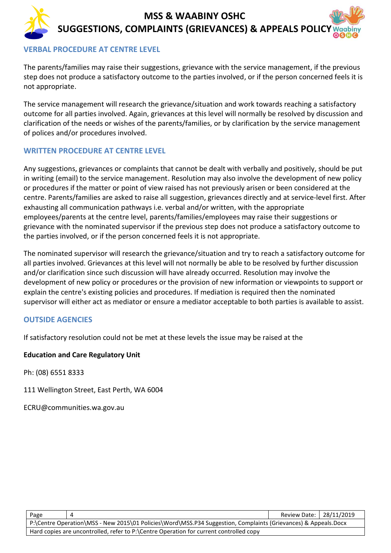# **MSS & WAABINY OSHC SUGGESTIONS, COMPLAINTS (GRIEVANCES) & APPEALS POLICY**

#### **VERBAL PROCEDURE AT CENTRE LEVEL**

The parents/families may raise their suggestions, grievance with the service management, if the previous step does not produce a satisfactory outcome to the parties involved, or if the person concerned feels it is not appropriate.

The service management will research the grievance/situation and work towards reaching a satisfactory outcome for all parties involved. Again, grievances at this level will normally be resolved by discussion and clarification of the needs or wishes of the parents/families, or by clarification by the service management of polices and/or procedures involved.

#### **WRITTEN PROCEDURE AT CENTRE LEVEL**

Any suggestions, grievances or complaints that cannot be dealt with verbally and positively, should be put in writing (email) to the service management. Resolution may also involve the development of new policy or procedures if the matter or point of view raised has not previously arisen or been considered at the centre. Parents/families are asked to raise all suggestion, grievances directly and at service-level first. After exhausting all communication pathways i.e. verbal and/or written, with the appropriate employees/parents at the centre level, parents/families/employees may raise their suggestions or grievance with the nominated supervisor if the previous step does not produce a satisfactory outcome to the parties involved, or if the person concerned feels it is not appropriate.

The nominated supervisor will research the grievance/situation and try to reach a satisfactory outcome for all parties involved. Grievances at this level will not normally be able to be resolved by further discussion and/or clarification since such discussion will have already occurred. Resolution may involve the development of new policy or procedures or the provision of new information or viewpoints to support or explain the centre's existing policies and procedures. If mediation is required then the nominated supervisor will either act as mediator or ensure a mediator acceptable to both parties is available to assist.

#### **OUTSIDE AGENCIES**

If satisfactory resolution could not be met at these levels the issue may be raised at the

#### **Education and Care Regulatory Unit**

Ph: (08) 6551 8333

111 Wellington Street, East Perth, WA 6004

ECRU@communities.wa.gov.au

| Page                                                                                                           |  | Review Date:   28/11/2019 |  |
|----------------------------------------------------------------------------------------------------------------|--|---------------------------|--|
| P:\Centre Operation\MSS - New 2015\01 Policies\Word\MSS.P34 Suggestion, Complaints (Grievances) & Appeals.Docx |  |                           |  |
| Hard copies are uncontrolled, refer to P:\Centre Operation for current controlled copy                         |  |                           |  |